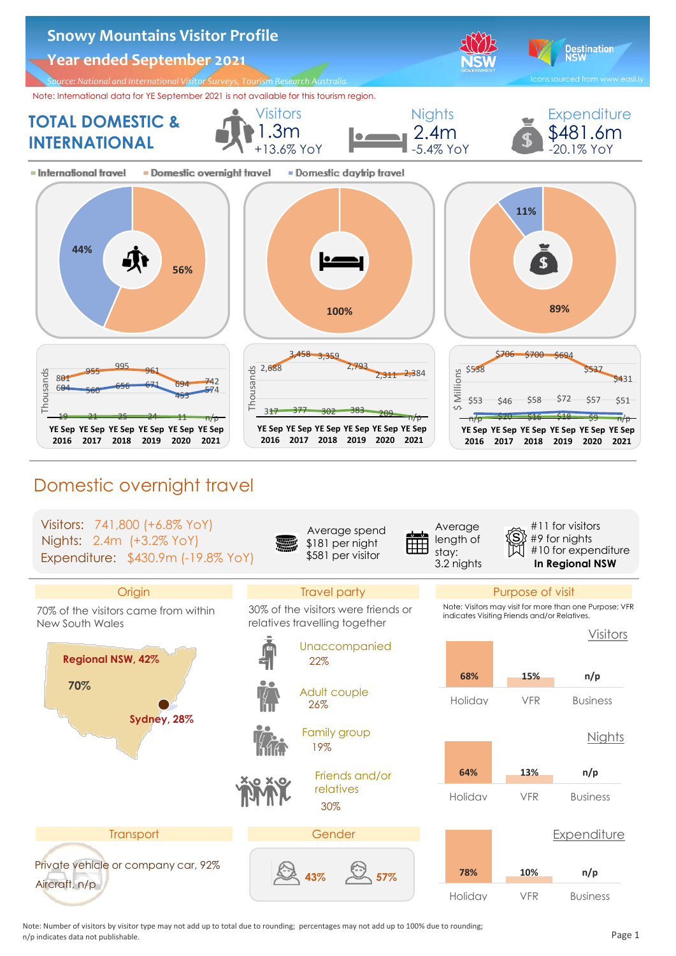

 Note: Number of visitors by visitor type may not add up to total due to rounding; percentages may not add up to 100% due to rounding;  $n/p$  indicates data not publishable.  $P$  and  $P$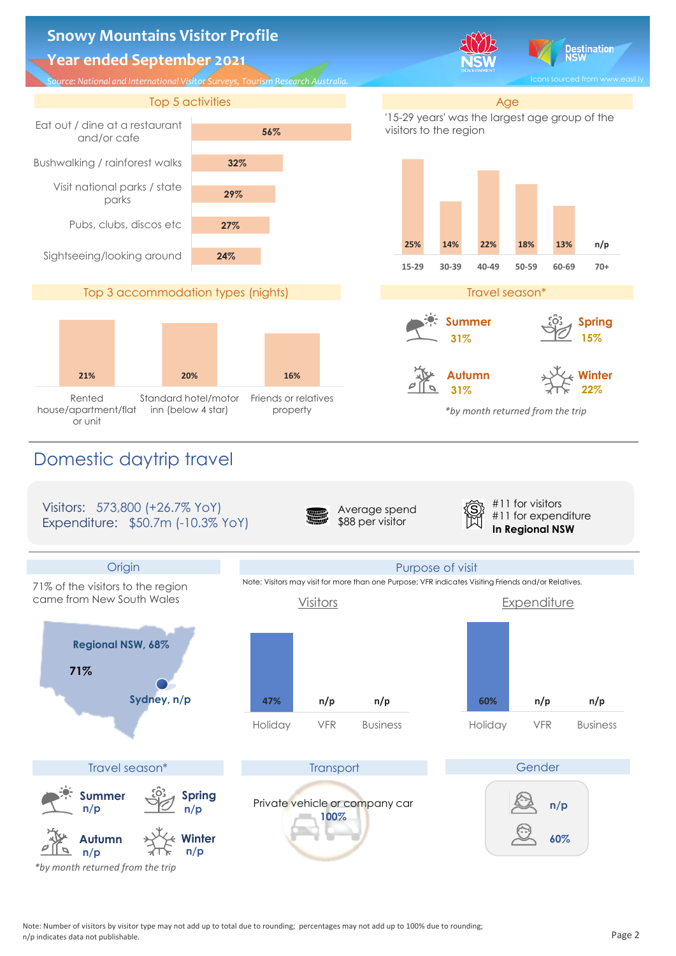